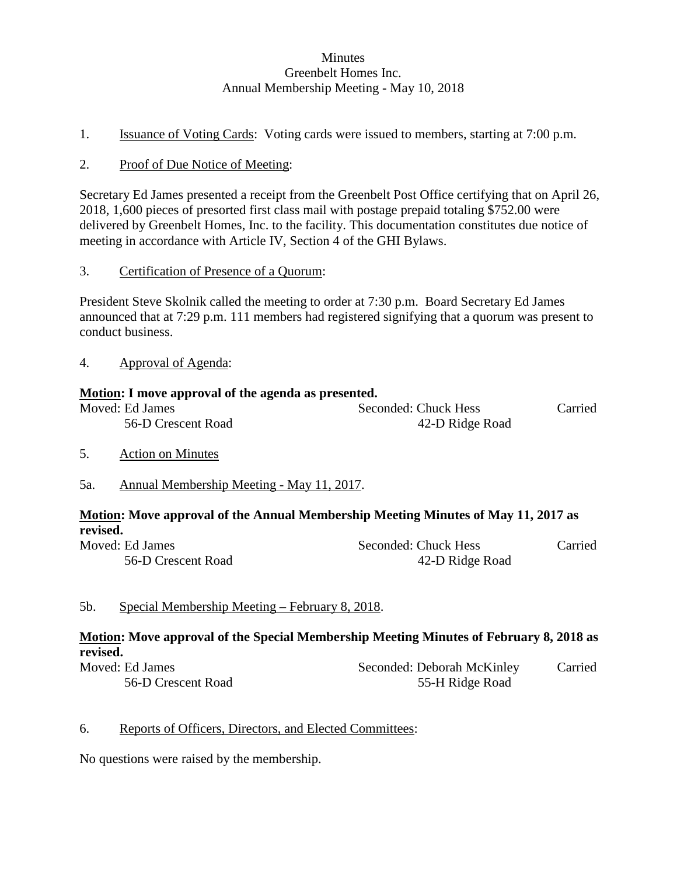# **Minutes** Greenbelt Homes Inc. Annual Membership Meeting **-** May 10, 2018

1. Issuance of Voting Cards: Voting cards were issued to members, starting at 7:00 p.m.

# 2. Proof of Due Notice of Meeting:

Secretary Ed James presented a receipt from the Greenbelt Post Office certifying that on April 26, 2018, 1,600 pieces of presorted first class mail with postage prepaid totaling \$752.00 were delivered by Greenbelt Homes, Inc. to the facility. This documentation constitutes due notice of meeting in accordance with Article IV, Section 4 of the GHI Bylaws.

# 3. Certification of Presence of a Quorum:

President Steve Skolnik called the meeting to order at 7:30 p.m. Board Secretary Ed James announced that at 7:29 p.m. 111 members had registered signifying that a quorum was present to conduct business.

| 4. | Approval of Agenda: |  |
|----|---------------------|--|
|    |                     |  |

#### **Motion: I move approval of the agenda as presented.**

| Moved: Ed James    |  | Seconded: Chuck Hess | Carried |
|--------------------|--|----------------------|---------|
| 56-D Crescent Road |  | 42-D Ridge Road      |         |

- 5. Action on Minutes
- 5a. Annual Membership Meeting May 11, 2017.

# **Motion: Move approval of the Annual Membership Meeting Minutes of May 11, 2017 as revised.**

| Moved: Ed James    | Seconded: Chuck Hess | Carried |
|--------------------|----------------------|---------|
| 56-D Crescent Road | 42-D Ridge Road      |         |

# 5b. Special Membership Meeting – February 8, 2018.

# **Motion: Move approval of the Special Membership Meeting Minutes of February 8, 2018 as revised.**

| Moved: Ed James    | Seconded: Deborah McKinley | Carried |
|--------------------|----------------------------|---------|
| 56-D Crescent Road | 55-H Ridge Road            |         |

# 6. Reports of Officers, Directors, and Elected Committees:

No questions were raised by the membership.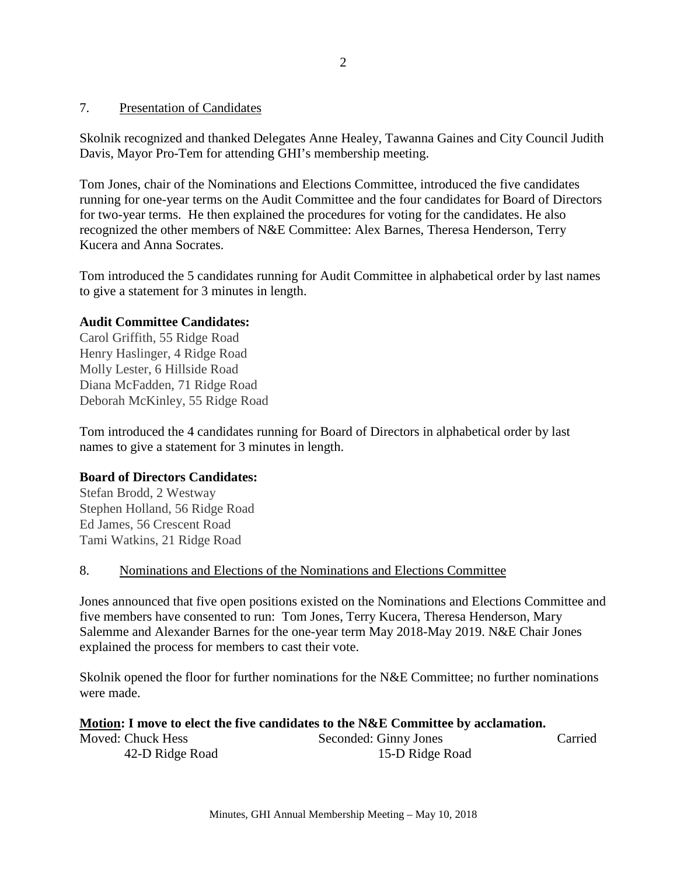#### 7. Presentation of Candidates

Skolnik recognized and thanked Delegates Anne Healey, Tawanna Gaines and City Council Judith Davis, Mayor Pro-Tem for attending GHI's membership meeting.

Tom Jones, chair of the Nominations and Elections Committee, introduced the five candidates running for one-year terms on the Audit Committee and the four candidates for Board of Directors for two-year terms. He then explained the procedures for voting for the candidates. He also recognized the other members of N&E Committee: Alex Barnes, Theresa Henderson, Terry Kucera and Anna Socrates.

Tom introduced the 5 candidates running for Audit Committee in alphabetical order by last names to give a statement for 3 minutes in length.

# **Audit Committee Candidates:**

Carol Griffith, 55 Ridge Road Henry Haslinger, 4 Ridge Road Molly Lester, 6 Hillside Road Diana McFadden, 71 Ridge Road Deborah McKinley, 55 Ridge Road

Tom introduced the 4 candidates running for Board of Directors in alphabetical order by last names to give a statement for 3 minutes in length.

# **Board of Directors Candidates:**

Stefan Brodd, 2 Westway Stephen Holland, 56 Ridge Road Ed James, 56 Crescent Road Tami Watkins, 21 Ridge Road

# 8. Nominations and Elections of the Nominations and Elections Committee

Jones announced that five open positions existed on the Nominations and Elections Committee and five members have consented to run: Tom Jones, Terry Kucera, Theresa Henderson, Mary Salemme and Alexander Barnes for the one-year term May 2018-May 2019. N&E Chair Jones explained the process for members to cast their vote.

Skolnik opened the floor for further nominations for the N&E Committee; no further nominations were made.

**Motion: I move to elect the five candidates to the N&E Committee by acclamation.** Moved: Chuck Hess Seconded: Ginny Jones Carried 42-D Ridge Road 15-D Ridge Road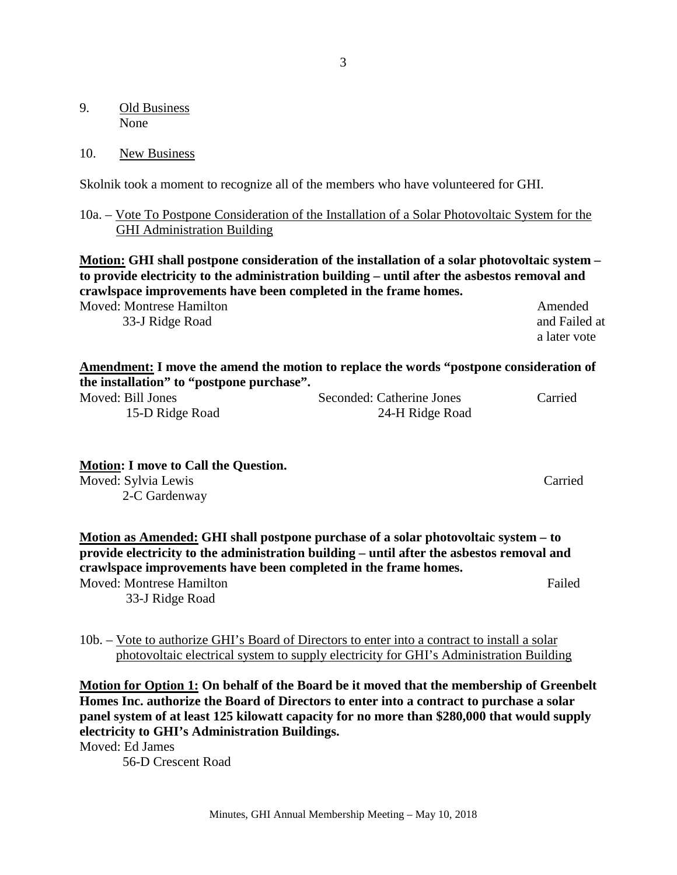- 9. Old Business None
- 10. New Business

Skolnik took a moment to recognize all of the members who have volunteered for GHI.

#### 10a. – Vote To Postpone Consideration of the Installation of a Solar Photovoltaic System for the GHI Administration Building

**Motion: GHI shall postpone consideration of the installation of a solar photovoltaic system – to provide electricity to the administration building – until after the asbestos removal and crawlspace improvements have been completed in the frame homes.**

Moved: Montrese Hamilton Amended 33-J Ridge Road and Failed at and Failed at and Failed at and Failed at and Failed at and Failed at and Failed at  $\frac{1}{2}$ 

a later vote

| Amendment: I move the amend the motion to replace the words "postpone consideration of<br>the installation" to "postpone purchase". |                           |         |
|-------------------------------------------------------------------------------------------------------------------------------------|---------------------------|---------|
| Moved: Bill Jones                                                                                                                   | Seconded: Catherine Jones | Carried |
| 15-D Ridge Road                                                                                                                     | 24-H Ridge Road           |         |

**Motion: I move to Call the Question.** Moved: Sylvia Lewis Carried 2-C Gardenway

**Motion as Amended: GHI shall postpone purchase of a solar photovoltaic system – to provide electricity to the administration building – until after the asbestos removal and crawlspace improvements have been completed in the frame homes.** Moved: Montrese Hamilton Failed 33-J Ridge Road

10b. – Vote to authorize GHI's Board of Directors to enter into a contract to install a solar photovoltaic electrical system to supply electricity for GHI's Administration Building

**Motion for Option 1: On behalf of the Board be it moved that the membership of Greenbelt Homes Inc. authorize the Board of Directors to enter into a contract to purchase a solar panel system of at least 125 kilowatt capacity for no more than \$280,000 that would supply electricity to GHI's Administration Buildings.**

Moved: Ed James

56-D Crescent Road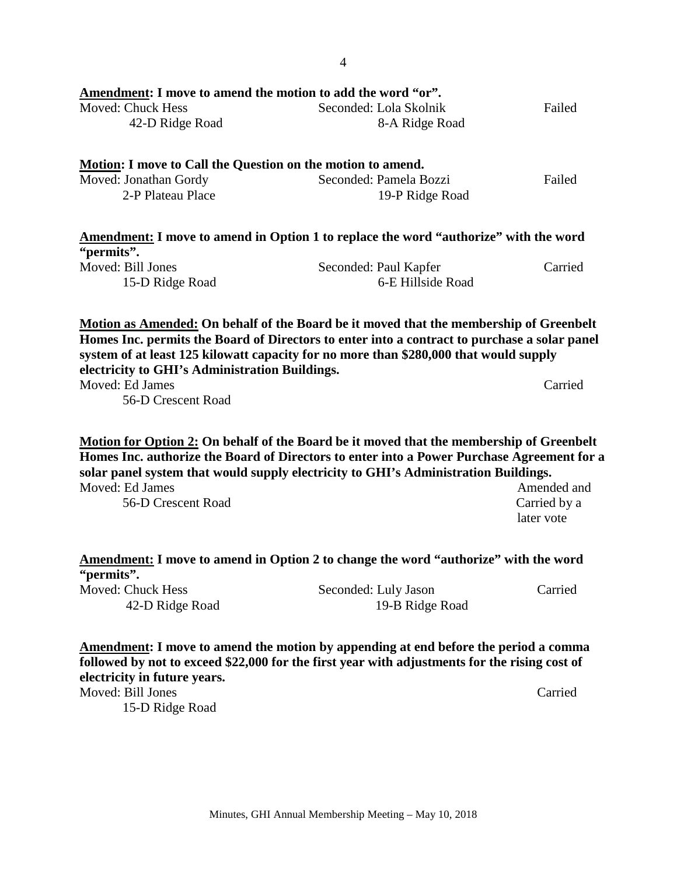| Amendment: I move to amend the motion to add the word "or".<br><b>Moved: Chuck Hess</b><br>42-D Ridge Road       | Seconded: Lola Skolnik<br>8-A Ridge Road                                                                                                                                             | Failed                                    |
|------------------------------------------------------------------------------------------------------------------|--------------------------------------------------------------------------------------------------------------------------------------------------------------------------------------|-------------------------------------------|
| <b>Motion:</b> I move to Call the Question on the motion to amend.<br>Moved: Jonathan Gordy<br>2-P Plateau Place | Seconded: Pamela Bozzi<br>19-P Ridge Road                                                                                                                                            | Failed                                    |
| "permits".                                                                                                       | <b>Amendment:</b> I move to amend in Option 1 to replace the word "authorize" with the word                                                                                          |                                           |
| Moved: Bill Jones<br>15-D Ridge Road                                                                             | Seconded: Paul Kapfer<br>6-E Hillside Road                                                                                                                                           | Carried                                   |
| Moved: Ed James<br>56-D Crescent Road                                                                            | Motion for Option 2: On behalf of the Board be it moved that the membership of Greenbelt                                                                                             | Carried                                   |
|                                                                                                                  | Homes Inc. authorize the Board of Directors to enter into a Power Purchase Agreement for a                                                                                           |                                           |
|                                                                                                                  | solar panel system that would supply electricity to GHI's Administration Buildings.                                                                                                  |                                           |
| Moved: Ed James<br>56-D Crescent Road                                                                            |                                                                                                                                                                                      | Amended and<br>Carried by a<br>later vote |
| "permits".                                                                                                       | <b>Amendment:</b> I move to amend in Option 2 to change the word "authorize" with the word                                                                                           |                                           |
| <b>Moved: Chuck Hess</b><br>42-D Ridge Road                                                                      | Seconded: Luly Jason<br>19-B Ridge Road                                                                                                                                              | Carried                                   |
|                                                                                                                  | Amendment: I move to amend the motion by appending at end before the period a comma<br>followed by not to exceed \$22,000 for the first year with adjustments for the rising cost of |                                           |

**electricity in future years.**

Moved: Bill Jones Carried 15-D Ridge Road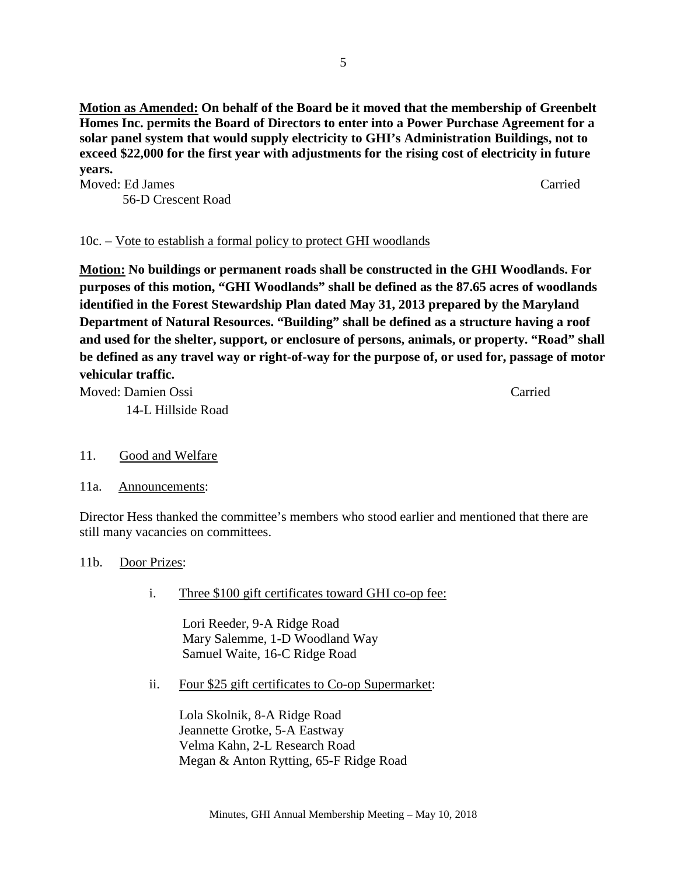**Motion as Amended: On behalf of the Board be it moved that the membership of Greenbelt Homes Inc. permits the Board of Directors to enter into a Power Purchase Agreement for a solar panel system that would supply electricity to GHI's Administration Buildings, not to exceed \$22,000 for the first year with adjustments for the rising cost of electricity in future years.**

| Moved: Ed James    | Carried |
|--------------------|---------|
| 56-D Crescent Road |         |

10c. – Vote to establish a formal policy to protect GHI woodlands

**Motion: No buildings or permanent roads shall be constructed in the GHI Woodlands. For purposes of this motion, "GHI Woodlands" shall be defined as the 87.65 acres of woodlands identified in the Forest Stewardship Plan dated May 31, 2013 prepared by the Maryland Department of Natural Resources. "Building" shall be defined as a structure having a roof and used for the shelter, support, or enclosure of persons, animals, or property. "Road" shall be defined as any travel way or right-of-way for the purpose of, or used for, passage of motor vehicular traffic.** 

Moved: Damien Ossi Carried 14-L Hillside Road

- 11. Good and Welfare
- 11a. Announcements:

Director Hess thanked the committee's members who stood earlier and mentioned that there are still many vacancies on committees.

# 11b. Door Prizes:

i. Three \$100 gift certificates toward GHI co-op fee:

 Lori Reeder, 9-A Ridge Road Mary Salemme, 1-D Woodland Way Samuel Waite, 16-C Ridge Road

ii. Four \$25 gift certificates to Co-op Supermarket:

 Lola Skolnik, 8-A Ridge Road Jeannette Grotke, 5-A Eastway Velma Kahn, 2-L Research Road Megan & Anton Rytting, 65-F Ridge Road